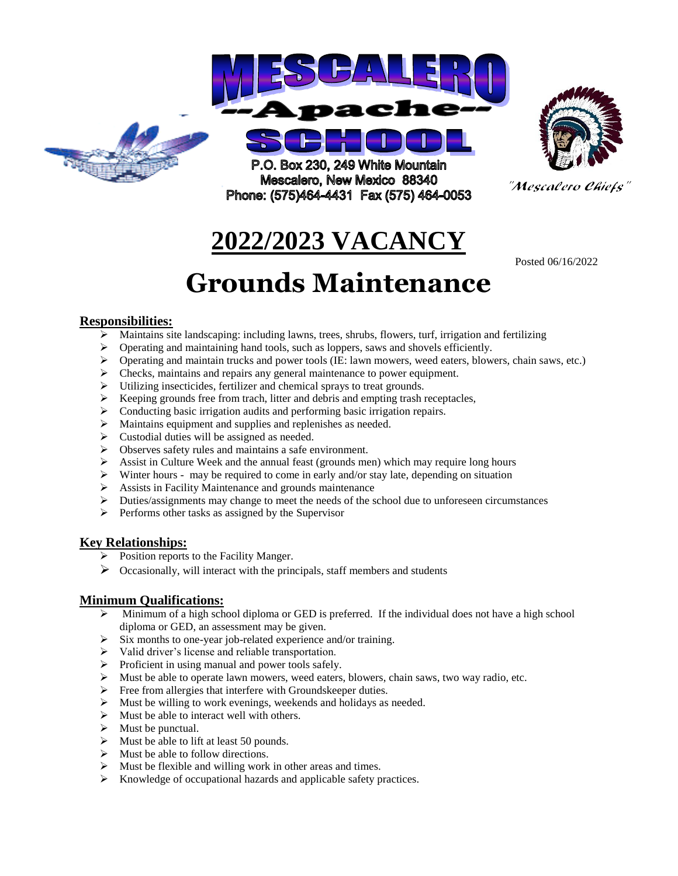



P.O. Box 230, 249 White Mountain Mescalero, New Mexico 88340 Phone: (575)464-4431 Fax (575) 464-0053



"Mescalero Chiefs"

# **2022/2023 VACANCY**

Posted 06/16/2022

## **Grounds Maintenance**

#### **Responsibilities:**

- Maintains site landscaping: including lawns, trees, shrubs, flowers, turf, irrigation and fertilizing
- $\triangleright$  Operating and maintaining hand tools, such as loppers, saws and shovels efficiently.
- $\triangleright$  Operating and maintain trucks and power tools (IE: lawn mowers, weed eaters, blowers, chain saws, etc.)
- $\triangleright$  Checks, maintains and repairs any general maintenance to power equipment.
- Utilizing insecticides, fertilizer and chemical sprays to treat grounds.
- $\triangleright$  Keeping grounds free from trach, litter and debris and empting trash receptacles,
- $\triangleright$  Conducting basic irrigation audits and performing basic irrigation repairs.
- Maintains equipment and supplies and replenishes as needed.
- $\triangleright$  Custodial duties will be assigned as needed.
- Observes safety rules and maintains a safe environment.
- $\triangleright$  Assist in Culture Week and the annual feast (grounds men) which may require long hours
- $\triangleright$  Winter hours may be required to come in early and/or stay late, depending on situation
- $\triangleright$  Assists in Facility Maintenance and grounds maintenance
- $\triangleright$  Duties/assignments may change to meet the needs of the school due to unforeseen circumstances
- $\triangleright$  Performs other tasks as assigned by the Supervisor

#### **Key Relationships:**

- $\triangleright$  Position reports to the Facility Manger.
- $\triangleright$  Occasionally, will interact with the principals, staff members and students

#### **Minimum Qualifications:**

- $\triangleright$  Minimum of a high school diploma or GED is preferred. If the individual does not have a high school diploma or GED, an assessment may be given.
- $\triangleright$  Six months to one-year job-related experience and/or training.
- $\triangleright$  Valid driver's license and reliable transportation.
- $\triangleright$  Proficient in using manual and power tools safely.
- $\triangleright$  Must be able to operate lawn mowers, weed eaters, blowers, chain saws, two way radio, etc.
- $\triangleright$  Free from allergies that interfere with Groundskeeper duties.
- $\triangleright$  Must be willing to work evenings, weekends and holidays as needed.
- $\triangleright$  Must be able to interact well with others.
- $\triangleright$  Must be punctual.
- $\triangleright$  Must be able to lift at least 50 pounds.
- $\triangleright$  Must be able to follow directions.
- $\triangleright$  Must be flexible and willing work in other areas and times.
- $\triangleright$  Knowledge of occupational hazards and applicable safety practices.